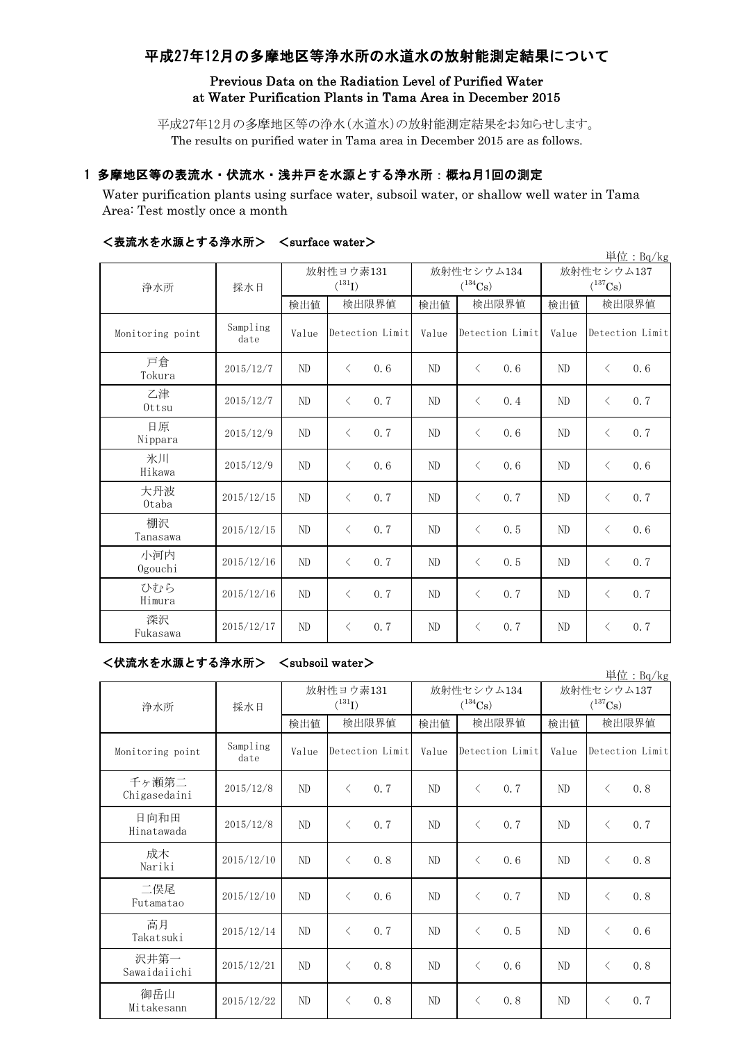# 平成27年12月の多摩地区等浄水所の水道水の放射能測定結果について

# Previous Data on the Radiation Level of Purified Water at Water Purification Plants in Tama Area in December 2015

平成27年12月の多摩地区等の浄水(水道水)の放射能測定結果をお知らせします。 The results on purified water in Tama area in December 2015 are as follows.

# 1 多摩地区等の表流水・伏流水・浅井戸を水源とする浄水所:概ね月1回の測定

Water purification plants using surface water, subsoil water, or shallow well water in Tama Area: Test mostly once a month

|                  |                  |                |                          |                |                            |                            | 単位: Bq/kg        |  |
|------------------|------------------|----------------|--------------------------|----------------|----------------------------|----------------------------|------------------|--|
| 浄水所              | 採水日              |                | 放射性ヨウ素131<br>$(^{131}I)$ |                | 放射性セシウム134<br>$(^{134}Cs)$ | 放射性セシウム137<br>$(^{137}Cs)$ |                  |  |
|                  |                  | 検出値            | 検出限界値                    | 検出値            | 検出限界値                      | 検出値                        | 検出限界値            |  |
| Monitoring point | Sampling<br>date | Value          | Detection Limit          | Value          | Detection Limit            | Value                      | Detection Limit  |  |
| 戸倉<br>Tokura     | 2015/12/7        | N <sub>D</sub> | 0.6<br>$\langle$         | N <sub>D</sub> | $\langle$<br>0.6           | ND                         | 0.6<br>$\langle$ |  |
| 乙津<br>Ottsu      | 2015/12/7        | ND             | 0.7<br>$\langle$         | ND             | $\langle$<br>0.4           | ND                         | 0.7<br>$\langle$ |  |
| 日原<br>Nippara    | 2015/12/9        | ND             | 0.7<br>$\langle$         | ND             | $\langle$<br>0, 6          | ND                         | 0.7<br>$\langle$ |  |
| 氷川<br>Hikawa     | 2015/12/9        | ND             | 0.6<br>$\langle$         | ND             | $\langle$<br>0, 6          | ND                         | 0.6<br>$\langle$ |  |
| 大丹波<br>0taba     | 2015/12/15       | ND             | 0.7<br>$\langle$         | ND             | $\langle$<br>0, 7          | ND                         | 0.7<br>$\langle$ |  |
| 棚沢<br>Tanasawa   | 2015/12/15       | ND             | 0.7<br>$\langle$         | ND             | $\langle$<br>0.5           | ND                         | 0.6<br>$\langle$ |  |
| 小河内<br>Ogouchi   | 2015/12/16       | ND             | 0.7<br>$\langle$         | ND             | $\langle$<br>0.5           | ND                         | 0.7<br>$\langle$ |  |
| ひむら<br>Himura    | 2015/12/16       | ND             | 0.7<br>$\langle$         | ND             | $\langle$<br>0, 7          | ND                         | 0.7<br>$\langle$ |  |
| 深沢<br>Fukasawa   | 2015/12/17       | ND             | 0, 7<br>$\langle$        | ND             | 0, 7<br>$\langle$          | ND                         | 0.7<br>$\langle$ |  |

### <表流水を水源とする浄水所> <surface water>

<伏流水を水源とする浄水所> <subsoil water>

| ヽ い灬 小 ෭ 小杯 ㄴ ァ ึ ง / † / \ / ハ /<br>\suvsvii watci /<br>単位: Bq/kg |                  |       |                          |       |                            |                            |                  |  |  |
|--------------------------------------------------------------------|------------------|-------|--------------------------|-------|----------------------------|----------------------------|------------------|--|--|
| 浄水所                                                                | 採水日              |       | 放射性ヨウ素131<br>$(^{131}I)$ |       | 放射性セシウム134<br>$(^{134}Cs)$ | 放射性セシウム137<br>$(^{137}Cs)$ |                  |  |  |
|                                                                    |                  | 検出値   | 検出限界値                    | 検出値   | 検出限界値                      | 検出値                        | 検出限界値            |  |  |
| Monitoring point                                                   | Sampling<br>date | Value | Detection Limit          | Value | Detection Limit            | Value                      | Detection Limit  |  |  |
| 千ヶ瀬第二<br>Chigasedaini                                              | 2015/12/8        | ND    | 0, 7<br>$\langle$        | ND    | 0.7<br>$\langle$           | ND                         | 0.8<br>$\langle$ |  |  |
| 日向和田<br>Hinatawada                                                 | 2015/12/8        | ND    | 0, 7<br>$\langle$        | ND    | 0.7<br>$\langle$           | ND                         | 0.7<br>$\langle$ |  |  |
| 成木<br>Nariki                                                       | 2015/12/10       | ND    | 0.8<br>$\langle$         | ND    | 0, 6<br>$\langle$          | ND                         | 0.8<br>$\langle$ |  |  |
| 二俣尾<br>Futamatao                                                   | 2015/12/10       | ND    | 0, 6<br>$\langle$        | ND    | $\langle$<br>0.7           | ND                         | 0.8<br>$\langle$ |  |  |
| 高月<br>Takatsuki                                                    | 2015/12/14       | ND    | 0, 7<br>$\lt$            | ND    | 0.5<br>$\langle$           | ND                         | 0.6<br>$\langle$ |  |  |
| 沢井第一<br>Sawaidaiichi                                               | 2015/12/21       | ND    | 0.8<br>$\lt$             | ND    | 0, 6<br>$\langle$          | ND                         | 0.8<br>$\langle$ |  |  |
| 御岳山<br>Mitakesann                                                  | 2015/12/22       | ND    | 0.8<br>$\lt$             | ND    | $\langle$<br>0.8           | ND                         | 0.7<br>$\langle$ |  |  |